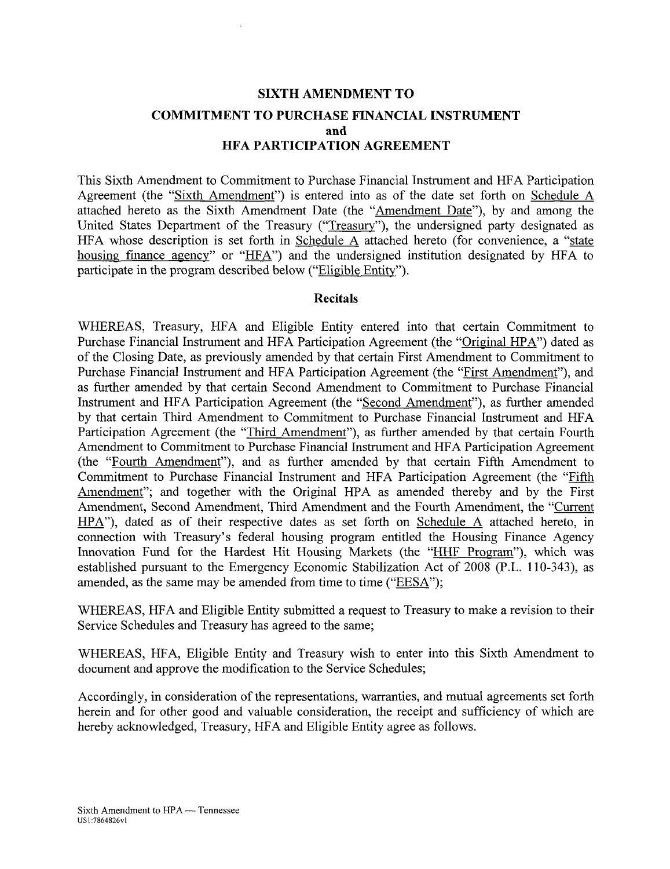# **SIXTH AMENDMENT TO COMMITMENT TO PURCHASE FINANCIAL INSTRUMENT and HFA PARTICIPATION AGREEMENT**

This Sixth Amendment to Commitment to Purchase Financial Instrument and HFA Participation Agreement (the "Sixth Amendment") is entered into as of the date set forth on Schedule A attached hereto as the Sixth Amendment Date (the "Amendment Date"), by and among the United States Department of the Treasury ("Treasury"), the undersigned party designated as HFA whose description is set forth in Schedule A attached hereto (for convenience, a "state housing finance agency" or "HFA") and the undersigned institution designated by HFA to participate in the program described below ("Eligible Entity").

### **Recitals**

WHEREAS, Treasury, HFA and Eligible Entity entered into that certain Commitment to Purchase Financial Instrument and HFA Participation Agreement (the "Original HPA") dated as of the Closing Date, as previously amended by that certain First Amendment to Commitment to Purchase Financial Instrument and HFA Participation Agreement (the "First Amendment"), and as further amended by that certain Second Amendment to Commitment to Purchase Financial Instrument and HFA Participation Agreement (the "Second Amendment"), as further amended by that certain Third Amendment to Commitment to Purchase Financial Instrument and HFA Participation Agreement (the "Third Amendment"), as further amended by that certain Fourth Amendment to Commitment to Purchase Financial Instrument and HFA Participation Agreement (the "Fourth Amendment"), and as further amended by that certain Fifth Amendment to Commitment to Purchase Financial Instrument and HFA Participation Agreement (the "Fifth Amendment"; and together with the Original HPA as amended thereby and by the First Amendment, Second Amendment, Third Amendment and the Fourth Amendment, the "Current HPA"), dated as of their respective dates as set forth on Schedule A attached hereto, in connection with Treasury's federal housing program entitled the Housing Finance Agency Innovation Fund for the Hardest Hit Housing Markets (the "HHF Program"), which was established pursuant to the Emergency Economic Stabilization Act of 2008 (P.L. 110-343), as amended, as the same may be amended from time to time ("EESA");

WHEREAS, HFA and Eligible Entity submitted a request to Treasury to make a revision to their Service Schedules and Treasury has agreed to the same;

WHEREAS, HFA, Eligible Entity and Treasury wish to enter into this Sixth Amendment to document and approve the modification to the Service Schedules;

Accordingly, in consideration of the representations, warranties, and mutual agreements set forth herein and for other good and valuable consideration, the receipt and sufficiency of which are hereby acknowledged, Treasury, HFA and Eligible Entity agree as follows.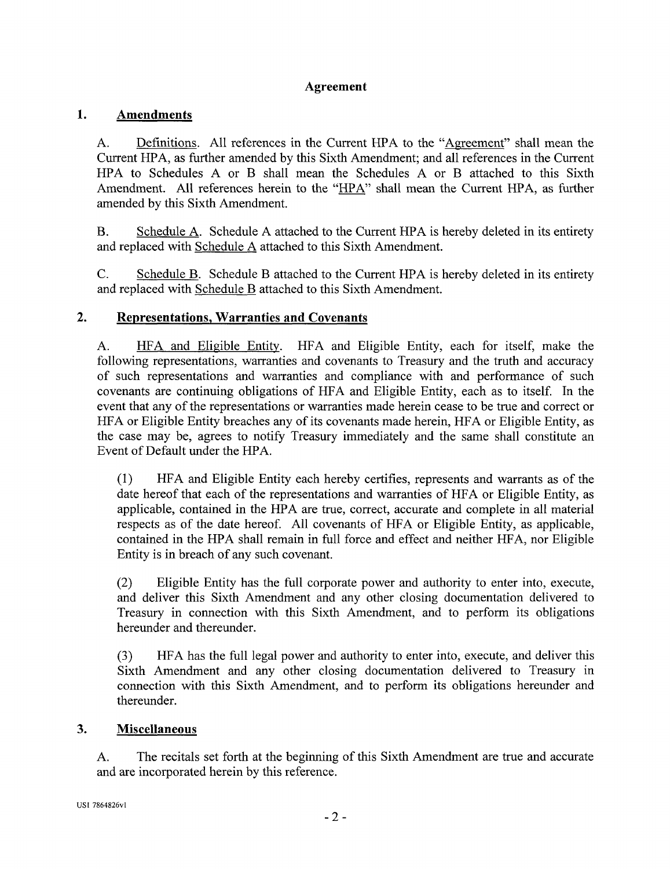## **Agreement**

## **1. Amendments**

A. Definitions. All references in the Current HPA to the "Agreement" shall mean the Current HPA, as further amended by this Sixth Amendment; and all references in the Current HPA to Schedules A or B shall mean the Schedules A or B attached to this Sixth Amendment. All references herein to the "HPA" shall mean the Current HPA, as further amended by this Sixth Amendment.

B. Schedule A. Schedule A attached to the Current HPA is hereby deleted in its entirety and replaced with Schedule A attached to this Sixth Amendment.

C. Schedule B. Schedule B attached to the Current HPA is hereby deleted in its entirety and replaced with Schedule B attached to this Sixth Amendment.

## **2. Representations, Warranties and Covenants**

A. HFA and Eligible Entity. HFA and Eligible Entity, each for itself, make the following representations, warranties and covenants to Treasury and the truth and accuracy of such representations and warranties and compliance with and performance of such covenants are continuing obligations of HFA and Eligible Entity, each as to itself. In the event that any of the representations or warranties made herein cease to be true and correct or HFA or Eligible Entity breaches any of its covenants made herein, HFA or Eligible Entity, as the case may be, agrees to notify Treasury immediately and the same shall constitute an Event of Default under the HPA.

(1) HFA and Eligible Entity each hereby certifies, represents and warrants as of the date hereof that each of the representations and warranties of HFA or Eligible Entity, as applicable, contained in the HPA are true, correct, accurate and complete in all material respects as of the date hereof. All covenants of HFA or Eligible Entity, as applicable, contained in the HPA shall remain in full force and effect and neither HFA, nor Eligible Entity is in breach of any such covenant.

(2) Eligible Entity has the full corporate power and authority to enter into, execute, and deliver this Sixth Amendment and any other closing documentation delivered to Treasury in connection with this Sixth Amendment, and to perform its obligations hereunder and thereunder.

(3) HFA has the full legal power and authority to enter into, execute, and deliver this Sixth Amendment and any other closing documentation delivered to Treasury in connection with this Sixth Amendment, and to perform its obligations hereunder and thereunder.

## **3. Miscellaneous**

A. The recitals set forth at the beginning of this Sixth Amendment are true and accurate and are incorporated herein by this reference.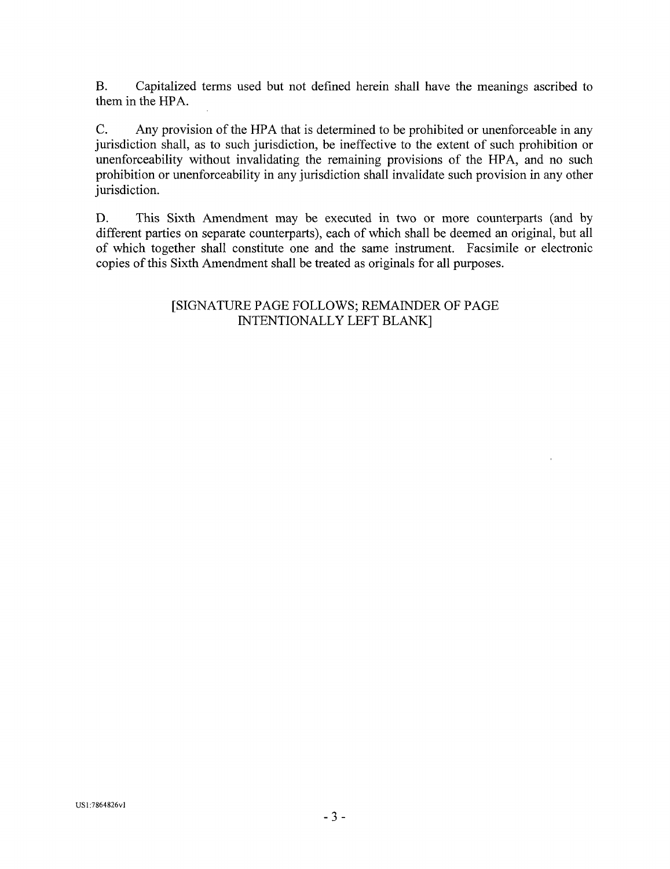B. Capitalized terms used but not defined herein shall have the meanings ascribed to them in the HPA.

C. Any provision of the HPA that is determined to be prohibited or unenforceable in any jurisdiction shall, as to such jurisdiction, be ineffective to the extent of such prohibition or unenforceability without invalidating the remaining provisions of the HPA, and no such prohibition or unenforceability in any jurisdiction shall invalidate such provision in any other jurisdiction.

D. This Sixth Amendment may be executed in two or more counterparts (and by different parties on separate counterparts), each of which shall be deemed an original, but all of which together shall constitute one and the same instrument. Facsimile or electronic copies of this Sixth Amendment shall be treated as originals for all purposes.

# [SIGNATURE PAGE FOLLOWS; REMAINDER OF PAGE INTENTIONALLY LEFT BLANK]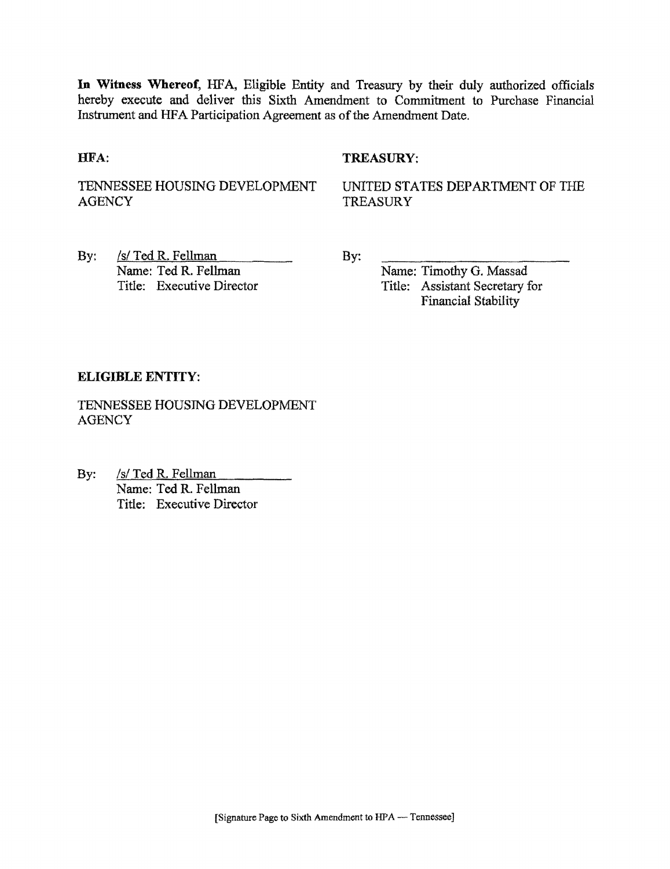**In Witness Whereof,** HFA, Eligible Entity and Treasury by their duly authorized officials hereby execute and deliver this Sixth Amendment to Commitment to Purchase Financial Instrument and HFA Participation Agreement as of the Amendment Date.

## HFA: TREASURY:

TENNESSEE HOUSING DEVELOPMENT **AGENCY** 

UNITED STATES DEPARTMENT OF THE **TREASURY** 

By: /s/ Ted R. Fellman Name: Ted R. Fellman Title: Executive Director **By:** 

Name: Timothy G. Massad Title: Assistant Secretary for Financial Stability

## **ELIGIBLE ENTITY:**

TENNESSEE HOUSING DEVELOPMENT **AGENCY** 

By: /s/ Ted R. Fellman Name: Ted R. Fellman Title: Executive Director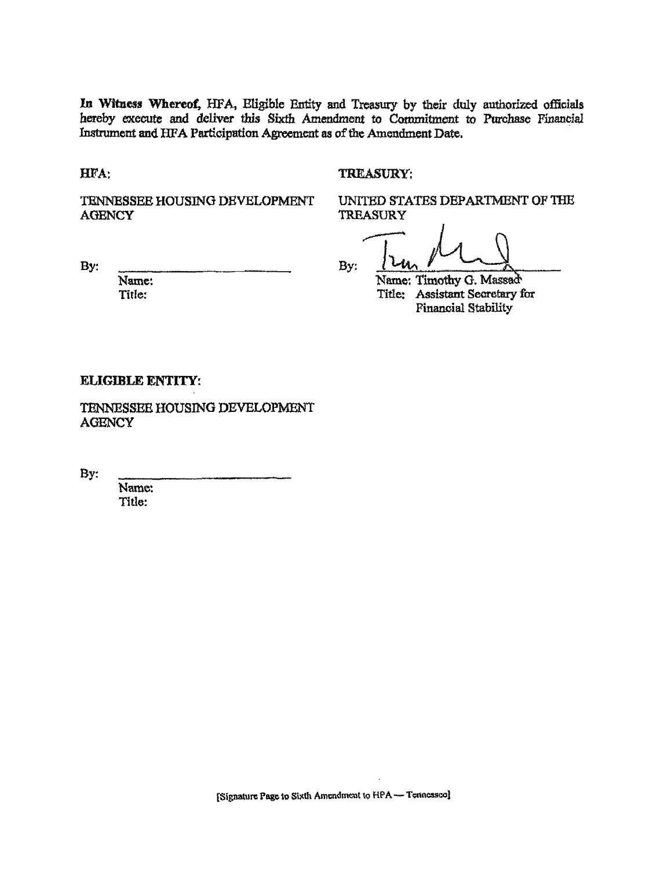In Witness Whereof, HFA, Eligible Entity and Treasury by their duly authorized officials hereby execute and deliver this Sixth Amendment to Commitment to Purchase Financial Instrument and HFA Participation Agreement as of the Amendment Date,

#### HFA; TREASURY;

TENNESSEE HOUSING DEVELOPMENT UNITED STATES DEPARTMENT OF THE AGENCY TREASURY

**TREASURY** 

By:  $\frac{1}{2}$  By:  $\frac{1}{2}$   $\frac{1}{2}$ 

Name: Name: Timothy G. Massade<br>Title: Assistant Secretary f Title: Assistant Secretary for Financial Stability

#### ELIGIBLE ENTITY:

TENNESSEE HOUSING DEVELOPMENT **AGENCY** 

**By:** 

Name: Title: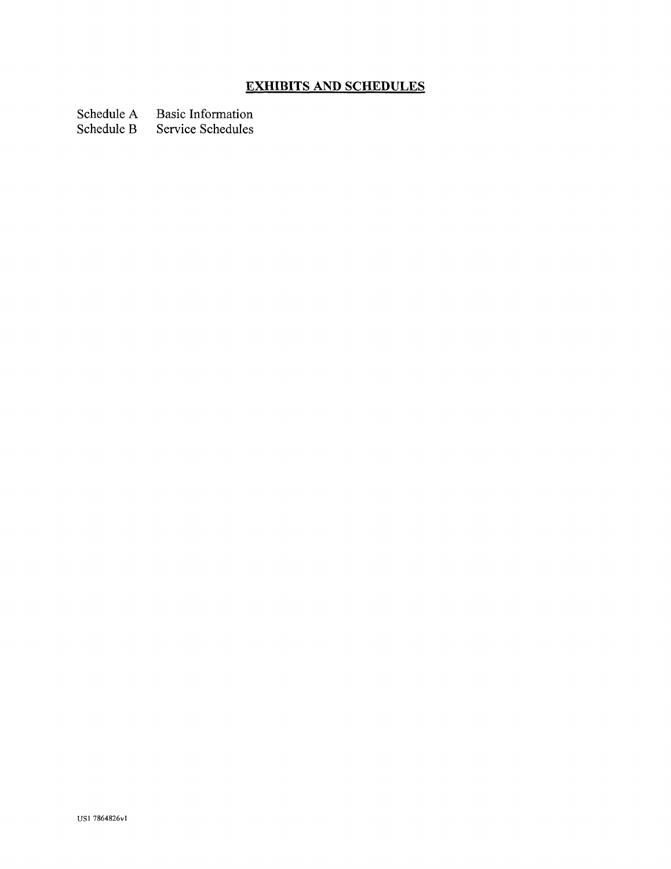# **EXHIBITS AND SCHEDULES**

Schedule A Basic Information<br>Schedule B Service Schedules

Service Schedules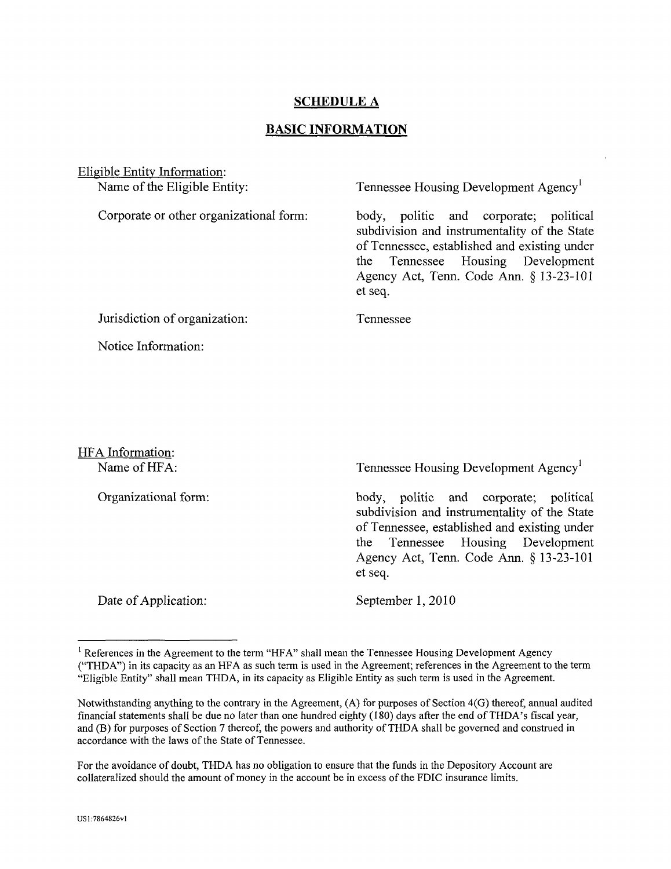## **SCHEDULE A**

#### **BASIC INFORMATION**

Eligible Entity Information: Name of the Eligible Entity:

Corporate or other organizational form:

Tennessee Housing Development Agency<sup>1</sup>

body, politic and corporate; political subdivision and instrumentality of the State of Tennessee, established and existing under the Tennessee Housing Development Agency Act, Tenn. Code Ann. § 13-23-101 et seq.

Jurisdiction of organization:

Notice Information:

Tennessee

HFA Information: Name of HFA:

Organizational form:

Tennessee Housing Development Agency

body, politic and corporate; political subdivision and instrumentality of the State of Tennessee, established and existing under the Tennessee Housing Development Agency Act, Tenn. Code Ann. § 13-23-101 et seq.

Date of Application:

September 1, 2010

<sup>&</sup>lt;sup>1</sup> References in the Agreement to the term "HFA" shall mean the Tennessee Housing Development Agency ("THDA") in its capacity as an HFA as such term is used in the Agreement; references in the Agreement to the term "Eligible Entity" shall mean THDA, in its capacity as Eligible Entity as such term is used in the Agreement.

Notwithstanding anything to the contrary in the Agreement, (A) for purposes of Section 4(G) thereof, annual audited financial statements shall be due no later than one hundred eighty (180) days after the end of THDA's fiscal year, and (B) for purposes of Section 7 thereof, the powers and authority of THDA shall be governed and construed in accordance with the laws of the State of Tennessee.

For the avoidance of doubt, THDA has no obligation to ensure that the funds in the Depository Account are collateralized should the amount of money in the account be in excess of the FDIC insurance limits.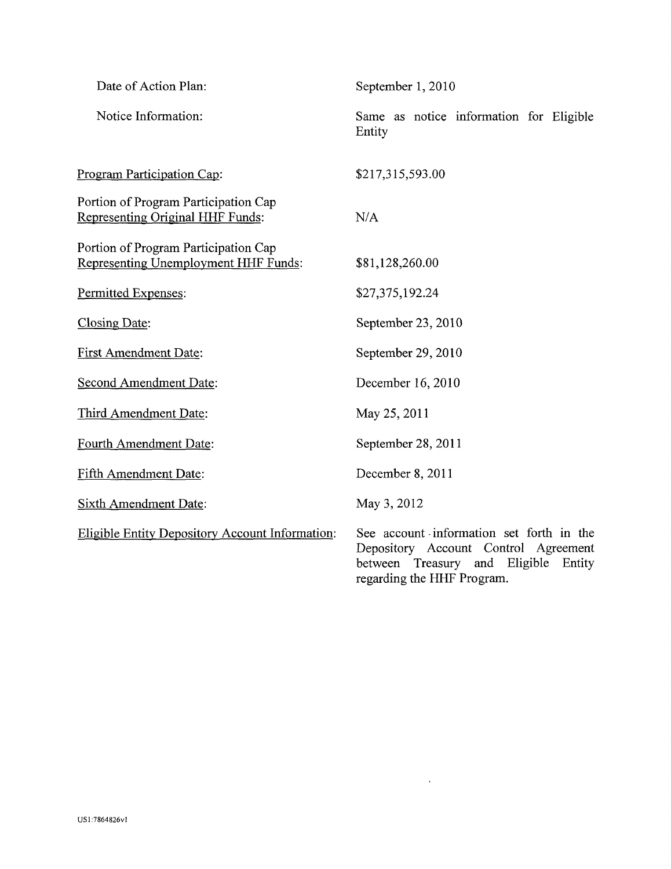| Date of Action Plan:                                                            | September 1, 2010                                                                                                                                            |
|---------------------------------------------------------------------------------|--------------------------------------------------------------------------------------------------------------------------------------------------------------|
| Notice Information:                                                             | Same as notice information for Eligible<br>Entity                                                                                                            |
| Program Participation Cap:                                                      | \$217,315,593.00                                                                                                                                             |
| Portion of Program Participation Cap<br><b>Representing Original HHF Funds:</b> | N/A                                                                                                                                                          |
| Portion of Program Participation Cap<br>Representing Unemployment HHF Funds:    | \$81,128,260.00                                                                                                                                              |
| Permitted Expenses:                                                             | \$27,375,192.24                                                                                                                                              |
| <b>Closing Date:</b>                                                            | September 23, 2010                                                                                                                                           |
| <b>First Amendment Date:</b>                                                    | September 29, 2010                                                                                                                                           |
| <b>Second Amendment Date:</b>                                                   | December 16, 2010                                                                                                                                            |
| Third Amendment Date:                                                           | May 25, 2011                                                                                                                                                 |
| Fourth Amendment Date:                                                          | September 28, 2011                                                                                                                                           |
| Fifth Amendment Date:                                                           | December 8, 2011                                                                                                                                             |
| <b>Sixth Amendment Date:</b>                                                    | May 3, 2012                                                                                                                                                  |
| Eligible Entity Depository Account Information:                                 | See account information set forth in the<br>Depository Account Control Agreement<br>Treasury and Eligible<br>between<br>Entity<br>regarding the HHF Program. |

 $\mathcal{L}^{\text{max}}_{\text{max}}$  , where  $\mathcal{L}^{\text{max}}_{\text{max}}$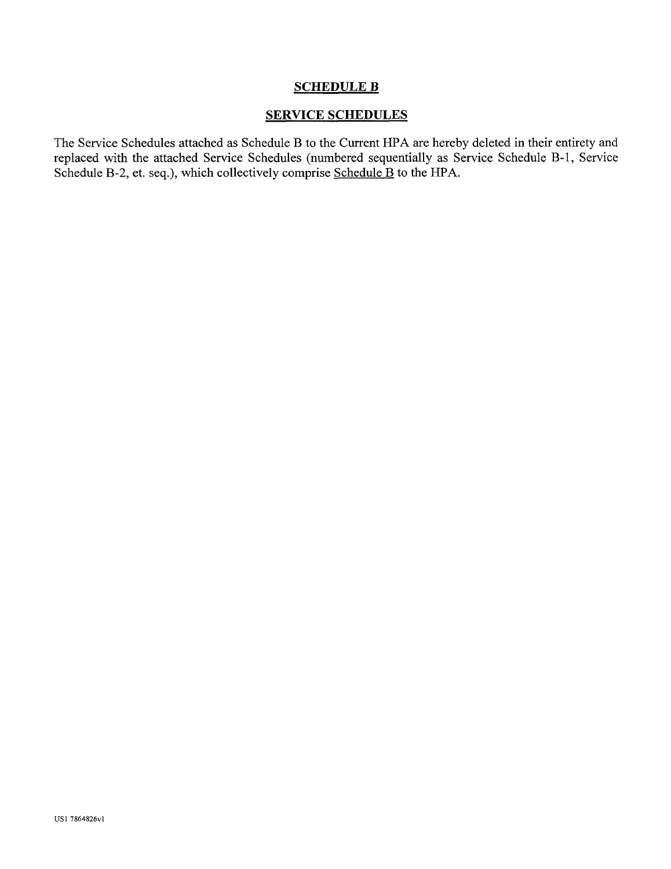## SCHEDULE B

## SERVICE SCHEDULES

The Service Schedules attached as Schedule B to the Current HPA are hereby deleted in their entirety and replaced with the attached Service Schedules (numbered sequentially as Service Schedule B-l, Service Schedule B-2, et. seq.), which collectively comprise Schedule B to the HPA.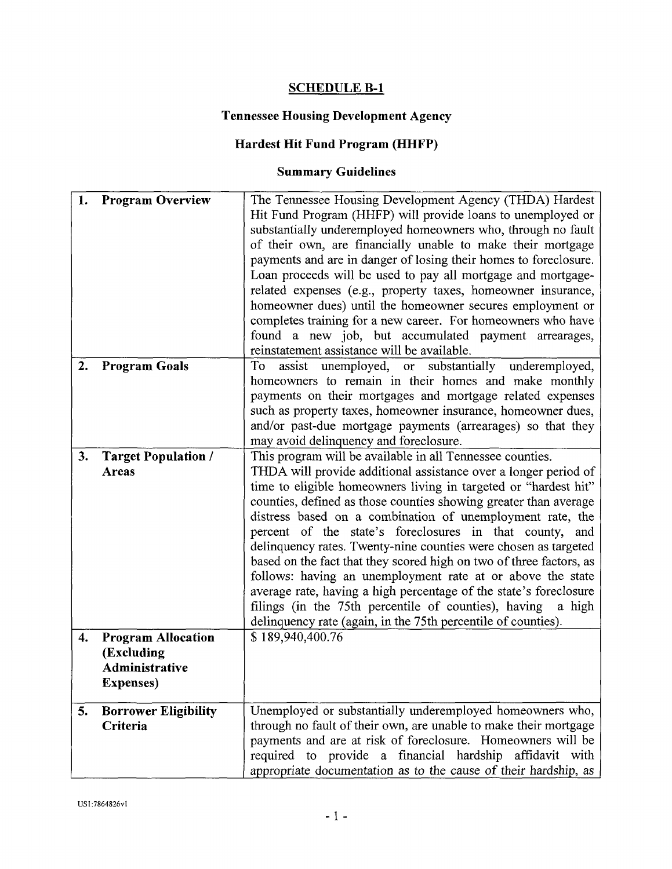# **SCHEDULE B-l**

# **Tennessee Housing Development Agency**

# **Hardest Hit Fund Program (HHFP)**

# **Summary Guidelines**

| 1. | <b>Program Overview</b>                                                              | The Tennessee Housing Development Agency (THDA) Hardest<br>Hit Fund Program (HHFP) will provide loans to unemployed or<br>substantially underemployed homeowners who, through no fault<br>of their own, are financially unable to make their mortgage<br>payments and are in danger of losing their homes to foreclosure.<br>Loan proceeds will be used to pay all mortgage and mortgage-<br>related expenses (e.g., property taxes, homeowner insurance,<br>homeowner dues) until the homeowner secures employment or<br>completes training for a new career. For homeowners who have<br>found a new job, but accumulated payment arrearages,<br>reinstatement assistance will be available.                                                                                                               |
|----|--------------------------------------------------------------------------------------|-------------------------------------------------------------------------------------------------------------------------------------------------------------------------------------------------------------------------------------------------------------------------------------------------------------------------------------------------------------------------------------------------------------------------------------------------------------------------------------------------------------------------------------------------------------------------------------------------------------------------------------------------------------------------------------------------------------------------------------------------------------------------------------------------------------|
| 2. | <b>Program Goals</b>                                                                 | assist unemployed, or substantially underemployed,<br>To<br>homeowners to remain in their homes and make monthly<br>payments on their mortgages and mortgage related expenses<br>such as property taxes, homeowner insurance, homeowner dues,<br>and/or past-due mortgage payments (arrearages) so that they<br>may avoid delinquency and foreclosure.                                                                                                                                                                                                                                                                                                                                                                                                                                                      |
| 3. | <b>Target Population /</b><br>Areas                                                  | This program will be available in all Tennessee counties.<br>THDA will provide additional assistance over a longer period of<br>time to eligible homeowners living in targeted or "hardest hit"<br>counties, defined as those counties showing greater than average<br>distress based on a combination of unemployment rate, the<br>percent of the state's foreclosures in that county, and<br>delinquency rates. Twenty-nine counties were chosen as targeted<br>based on the fact that they scored high on two of three factors, as<br>follows: having an unemployment rate at or above the state<br>average rate, having a high percentage of the state's foreclosure<br>filings (in the 75th percentile of counties), having<br>a high<br>delinquency rate (again, in the 75th percentile of counties). |
| 4. | <b>Program Allocation</b><br>(Excluding<br><b>Administrative</b><br><b>Expenses)</b> | \$189,940,400.76                                                                                                                                                                                                                                                                                                                                                                                                                                                                                                                                                                                                                                                                                                                                                                                            |
| 5. | <b>Borrower Eligibility</b><br>Criteria                                              | Unemployed or substantially underemployed homeowners who,<br>through no fault of their own, are unable to make their mortgage<br>payments and are at risk of foreclosure. Homeowners will be<br>required to provide a financial hardship affidavit with<br>appropriate documentation as to the cause of their hardship, as                                                                                                                                                                                                                                                                                                                                                                                                                                                                                  |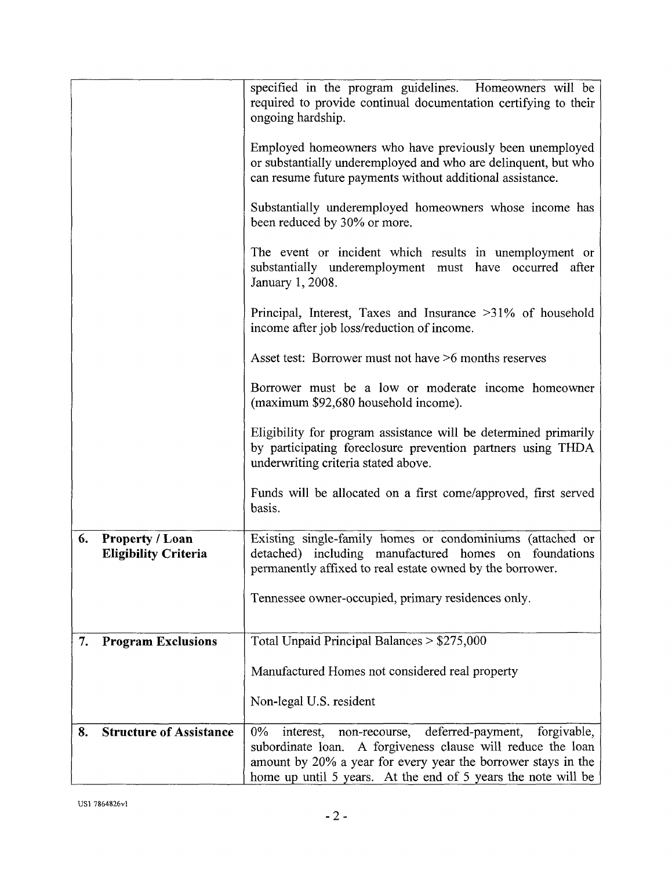|                                                      | specified in the program guidelines. Homeowners will be<br>required to provide continual documentation certifying to their<br>ongoing hardship.                                                                                                                             |
|------------------------------------------------------|-----------------------------------------------------------------------------------------------------------------------------------------------------------------------------------------------------------------------------------------------------------------------------|
|                                                      | Employed homeowners who have previously been unemployed<br>or substantially underemployed and who are delinquent, but who<br>can resume future payments without additional assistance.                                                                                      |
|                                                      | Substantially underemployed homeowners whose income has<br>been reduced by 30% or more.                                                                                                                                                                                     |
|                                                      | The event or incident which results in unemployment or<br>substantially underemployment must have occurred after<br>January 1, 2008.                                                                                                                                        |
|                                                      | Principal, Interest, Taxes and Insurance >31% of household<br>income after job loss/reduction of income.                                                                                                                                                                    |
|                                                      | Asset test: Borrower must not have >6 months reserves                                                                                                                                                                                                                       |
|                                                      | Borrower must be a low or moderate income homeowner<br>(maximum \$92,680 household income).                                                                                                                                                                                 |
|                                                      | Eligibility for program assistance will be determined primarily<br>by participating foreclosure prevention partners using THDA<br>underwriting criteria stated above.                                                                                                       |
|                                                      | Funds will be allocated on a first come/approved, first served<br>basis.                                                                                                                                                                                                    |
| 6.<br>Property / Loan<br><b>Eligibility Criteria</b> | Existing single-family homes or condominiums (attached or<br>detached) including manufactured homes on foundations<br>permanently affixed to real estate owned by the borrower.                                                                                             |
|                                                      | Tennessee owner-occupied, primary residences only.                                                                                                                                                                                                                          |
| <b>Program Exclusions</b><br>7.                      | Total Unpaid Principal Balances > \$275,000                                                                                                                                                                                                                                 |
|                                                      | Manufactured Homes not considered real property                                                                                                                                                                                                                             |
|                                                      | Non-legal U.S. resident                                                                                                                                                                                                                                                     |
| <b>Structure of Assistance</b><br>8.                 | forgivable,<br>$0\%$<br>deferred-payment,<br>interest,<br>non-recourse,<br>A forgiveness clause will reduce the loan<br>subordinate loan.<br>amount by 20% a year for every year the borrower stays in the<br>home up until 5 years. At the end of 5 years the note will be |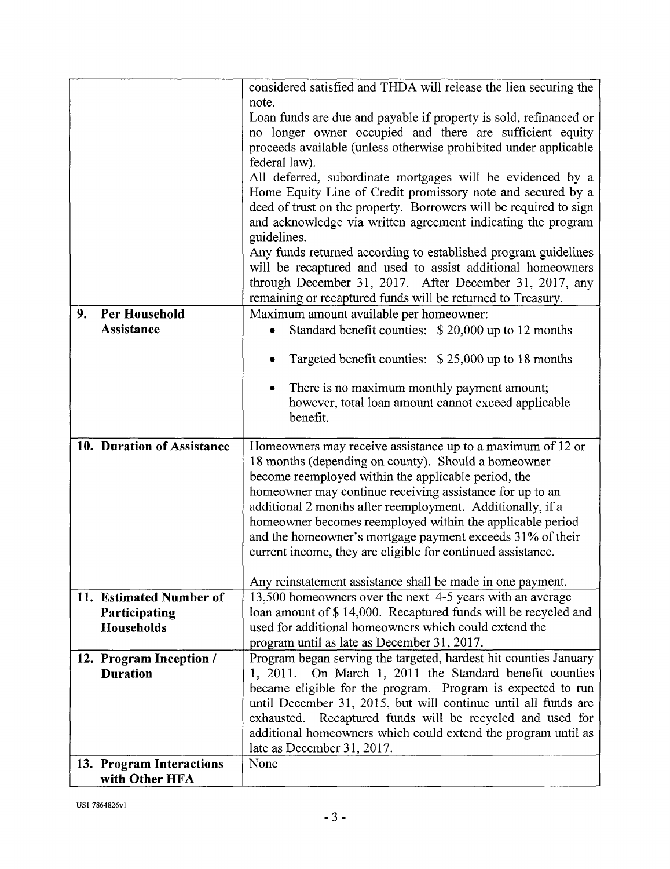|                                                        | considered satisfied and THDA will release the lien securing the<br>note.<br>Loan funds are due and payable if property is sold, refinanced or<br>no longer owner occupied and there are sufficient equity<br>proceeds available (unless otherwise prohibited under applicable<br>federal law).<br>All deferred, subordinate mortgages will be evidenced by a<br>Home Equity Line of Credit promissory note and secured by a<br>deed of trust on the property. Borrowers will be required to sign<br>and acknowledge via written agreement indicating the program<br>guidelines.<br>Any funds returned according to established program guidelines<br>will be recaptured and used to assist additional homeowners<br>through December 31, 2017. After December 31, 2017, any<br>remaining or recaptured funds will be returned to Treasury. |
|--------------------------------------------------------|---------------------------------------------------------------------------------------------------------------------------------------------------------------------------------------------------------------------------------------------------------------------------------------------------------------------------------------------------------------------------------------------------------------------------------------------------------------------------------------------------------------------------------------------------------------------------------------------------------------------------------------------------------------------------------------------------------------------------------------------------------------------------------------------------------------------------------------------|
| <b>Per Household</b><br>9.<br><b>Assistance</b>        | Maximum amount available per homeowner:<br>Standard benefit counties: \$20,000 up to 12 months<br>٠                                                                                                                                                                                                                                                                                                                                                                                                                                                                                                                                                                                                                                                                                                                                         |
|                                                        | Targeted benefit counties: \$25,000 up to 18 months                                                                                                                                                                                                                                                                                                                                                                                                                                                                                                                                                                                                                                                                                                                                                                                         |
|                                                        | There is no maximum monthly payment amount;<br>however, total loan amount cannot exceed applicable<br>benefit.                                                                                                                                                                                                                                                                                                                                                                                                                                                                                                                                                                                                                                                                                                                              |
| 10. Duration of Assistance                             | Homeowners may receive assistance up to a maximum of 12 or<br>18 months (depending on county). Should a homeowner<br>become reemployed within the applicable period, the<br>homeowner may continue receiving assistance for up to an<br>additional 2 months after reemployment. Additionally, if a<br>homeowner becomes reemployed within the applicable period<br>and the homeowner's mortgage payment exceeds 31% of their<br>current income, they are eligible for continued assistance.                                                                                                                                                                                                                                                                                                                                                 |
|                                                        | Any reinstatement assistance shall be made in one payment.                                                                                                                                                                                                                                                                                                                                                                                                                                                                                                                                                                                                                                                                                                                                                                                  |
| 11. Estimated Number of<br>Participating<br>Households | 13,500 homeowners over the next 4-5 years with an average<br>loan amount of \$14,000. Recaptured funds will be recycled and<br>used for additional homeowners which could extend the<br>program until as late as December 31, 2017.                                                                                                                                                                                                                                                                                                                                                                                                                                                                                                                                                                                                         |
| 12. Program Inception /<br><b>Duration</b>             | Program began serving the targeted, hardest hit counties January<br>On March 1, 2011 the Standard benefit counties<br>1, 2011.<br>became eligible for the program. Program is expected to run<br>until December 31, 2015, but will continue until all funds are<br>Recaptured funds will be recycled and used for<br>exhausted.<br>additional homeowners which could extend the program until as<br>late as December 31, 2017.                                                                                                                                                                                                                                                                                                                                                                                                              |
| 13. Program Interactions<br>with Other HFA             | None                                                                                                                                                                                                                                                                                                                                                                                                                                                                                                                                                                                                                                                                                                                                                                                                                                        |